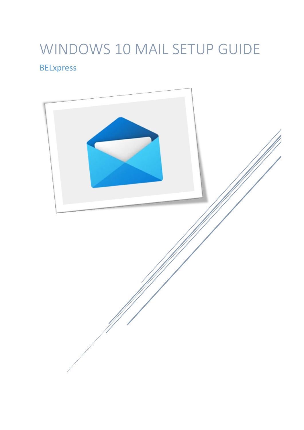# WINDOWS 10 MAIL SETUP GUIDE **BELxpress**

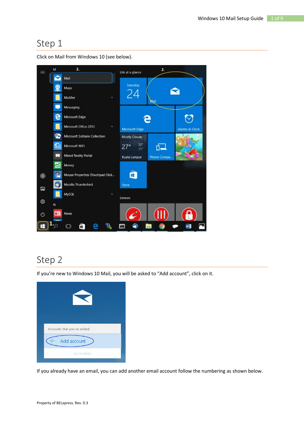

Click on Mail from Windows 10 (see below).

## Step 2

If you're new to Windows 10 Mail, you will be asked to "Add account", click on it.



If you already have an email, you can add another email account follow the numbering as shown below.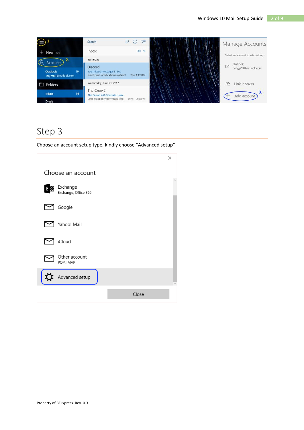

Choose an account setup type, kindly choose "Advanced setup"

|    |                                  |       | × |
|----|----------------------------------|-------|---|
|    | Choose an account                |       |   |
| ΕĶ | Exchange<br>Exchange, Office 365 |       |   |
|    | Google                           |       |   |
|    | Yahoo! Mail                      |       |   |
|    | iCloud                           |       |   |
|    | Other account<br>POP, IMAP       |       |   |
|    | Advanced setup                   |       |   |
|    |                                  | Close |   |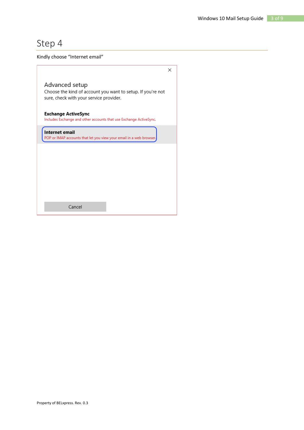Kindly choose "Internet email"

|                                                                                                                          | × |
|--------------------------------------------------------------------------------------------------------------------------|---|
| Advanced setup<br>Choose the kind of account you want to setup. If you're not<br>sure, check with your service provider. |   |
| <b>Exchange ActiveSync</b><br>Includes Exchange and other accounts that use Exchange ActiveSync.                         |   |
| Internet email<br>POP or IMAP accounts that let you view your email in a web browser.                                    |   |
|                                                                                                                          |   |
|                                                                                                                          |   |
|                                                                                                                          |   |
|                                                                                                                          |   |
| Cancel                                                                                                                   |   |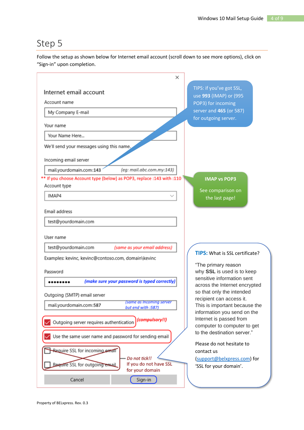Follow the setup as shown below for Internet email account (scroll down to see more options), click on "Sign-in" upon completion.

|                                                                       | ×                                            |                                                            |
|-----------------------------------------------------------------------|----------------------------------------------|------------------------------------------------------------|
| Internet email account                                                |                                              | TIPS: if you've got SSL,<br>use 993 (IMAP) or (995         |
| Account name                                                          |                                              | POP3) for incoming                                         |
| My Company E-mail                                                     |                                              | server and 465 (or 587)                                    |
|                                                                       |                                              | for outgoing server.                                       |
| Your name                                                             |                                              |                                                            |
| Your Name Here                                                        |                                              |                                                            |
| We'll send your messages using this name.                             |                                              |                                                            |
| Incoming email server                                                 |                                              |                                                            |
| mail.yourdomain.com:143                                               | (eg: mail.abc.com.my:143)                    |                                                            |
| ** If you choose Account type (below) as POP3, replace :143 with :110 |                                              | <b>IMAP vs POP3</b>                                        |
| Account type                                                          |                                              | See comparison on                                          |
| IMAP4                                                                 |                                              | the last page!                                             |
| Email address                                                         |                                              |                                                            |
| test@yourdomain.com                                                   |                                              |                                                            |
| User name                                                             |                                              |                                                            |
| test@yourdomain.com                                                   | (same as your email address)                 |                                                            |
| Examples: kevinc, kevinc@contoso.com, domain\kevinc                   |                                              | <b>TIPS:</b> What is SSL certificate?                      |
| Password                                                              |                                              | "The primary reason<br>why SSL is used is to keep          |
|                                                                       | (make sure your password is typed correctly) | sensitive information sent                                 |
|                                                                       |                                              | across the Internet encrypted<br>so that only the intended |
| Outgoing (SMTP) email server                                          | (same as Incoming server                     | recipient can access it.                                   |
| mail.yourdomain.com:587                                               | but end with :587)                           | This is important because the                              |
| Outgoing server requires authentication                               | (compulsory!!)                               | information you send on the<br>Internet is passed from     |
|                                                                       |                                              | computer to computer to get                                |
| Use the same user name and password for sending email                 |                                              | to the destination server."                                |
| Require SSL for incoming email                                        |                                              | Please do not hesitate to<br>contact us                    |
|                                                                       | Do not tick!!                                | (support@belxpress.com) for                                |
| Require SSL for outgoing email                                        | If you do not have SSL<br>for your domain    | 'SSL for your domain'.                                     |
| Cancel                                                                | Sign-in                                      |                                                            |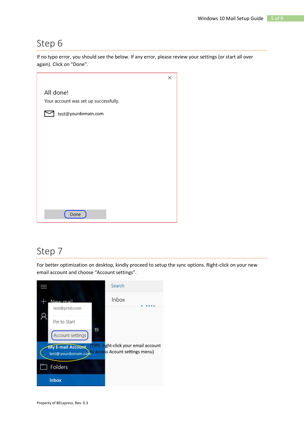If no typo error, you should see the below. If any error, please review your settings (or start all over again). Click on "Done".

|                                       | × |
|---------------------------------------|---|
| All done!                             |   |
| Your account was set up successfully. |   |
| test@yourdomain.com                   |   |
|                                       |   |
|                                       |   |
|                                       |   |
|                                       |   |
|                                       |   |
|                                       |   |
|                                       |   |
|                                       |   |
| Done                                  |   |

### Step 7

For better optimization on desktop, kindly proceed to setup the sync options. Right-click on your new email account and choose "Account settings".

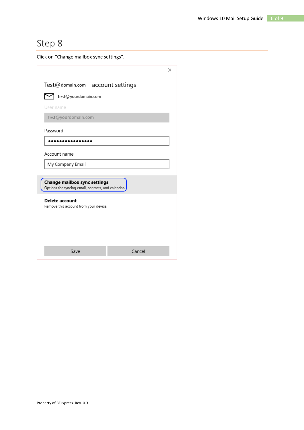Click on "Change mailbox sync settings".

| ×                                                                                  |  |  |  |  |
|------------------------------------------------------------------------------------|--|--|--|--|
| Test@domain.com account settings                                                   |  |  |  |  |
| test@yourdomain.com                                                                |  |  |  |  |
| User name                                                                          |  |  |  |  |
| test@yourdomain.com                                                                |  |  |  |  |
| Password                                                                           |  |  |  |  |
|                                                                                    |  |  |  |  |
| Account name                                                                       |  |  |  |  |
| My Company Email                                                                   |  |  |  |  |
|                                                                                    |  |  |  |  |
| Change mailbox sync settings<br>Options for syncing email, contacts, and calendar. |  |  |  |  |
| <b>Delete account</b><br>Remove this account from your device.                     |  |  |  |  |
| Cancel<br>Save                                                                     |  |  |  |  |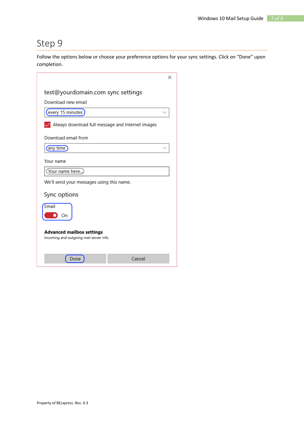Follow the options below or choose your preference options for your sync settings. Click on "Done" upon completion.

|                                                                            |        | × |  |
|----------------------------------------------------------------------------|--------|---|--|
| test@yourdomain.com sync settings                                          |        |   |  |
| Download new email                                                         |        |   |  |
| every 15 minutes                                                           |        |   |  |
| Always download full message and Internet images                           |        |   |  |
| Download email from                                                        |        |   |  |
| any time                                                                   |        |   |  |
| Your name                                                                  |        |   |  |
| Your name here                                                             |        |   |  |
| We'll send your messages using this name.                                  |        |   |  |
| Sync options                                                               |        |   |  |
| Fmail<br>On                                                                |        |   |  |
| <b>Advanced mailbox settings</b><br>Incoming and outgoing mail server info |        |   |  |
| Done                                                                       | Cancel |   |  |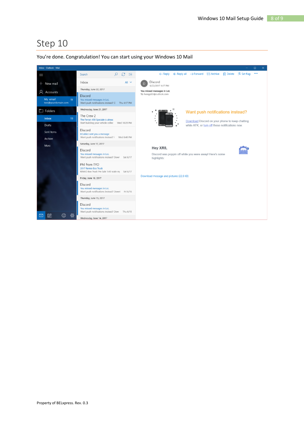Inbox - Outlook - Mail  $\equiv$ Search  $Q \cong$  $\ddotsc$ D Discord All  $\sim$ Inbox + New mail 6/22/2017 4:17 PM Thursday, June 22, 2017 You missed messages in LoL<br>To: hongyi03@outlook.com A Accounts Discord My email<br>test@yourdomain.com You missed messages in LoL<br>Want push notifications instead?  $\mathbb{C}$  = Thu 4:17 PM Wednesday, June 21, 2017  $\Box$  Folders Want push notifications instead? The Crew 2 Inbox The Ferrari 458 Speciale is alread<br>Start building your vehicle colled Wed 10:28 PM Download Discord on your phone to keep chatting Drafts while AFK, or turn off these notifications now. Discord Sent Items DCubicz sent you a message<br>Want push notifications instead? I Wed 8:48 PM Archive Saturday, June 17, 2017 More Hey XR8, Discord a.e. You missed messages in LoL<br>Want push notifications instead? Down Sat 6/17 Discord was poppin off while you were away! Here's some highlights: Phil from TYO 2017 Remio Box Truck<br>REMIO Box Truck<br>REMIO Box Truck Pre Sale 1:43 scale rej Sat 6/17 Download message and pictures (22.8 KB) Friday, June 16, 2017 Discord Vou missed messages in LoL<br>Want push notifications instead? Downl Fri 6/16 Thursday, June 15, 2017 Discord You missed messages in LoL<br>Want push notifications instead? Dow Thu 6/15  $\odot$   $\otimes$  $\Box$ Wednesday, June 14, 2017

#### You're done. Congratulation! You can start using your Windows 10 Mail